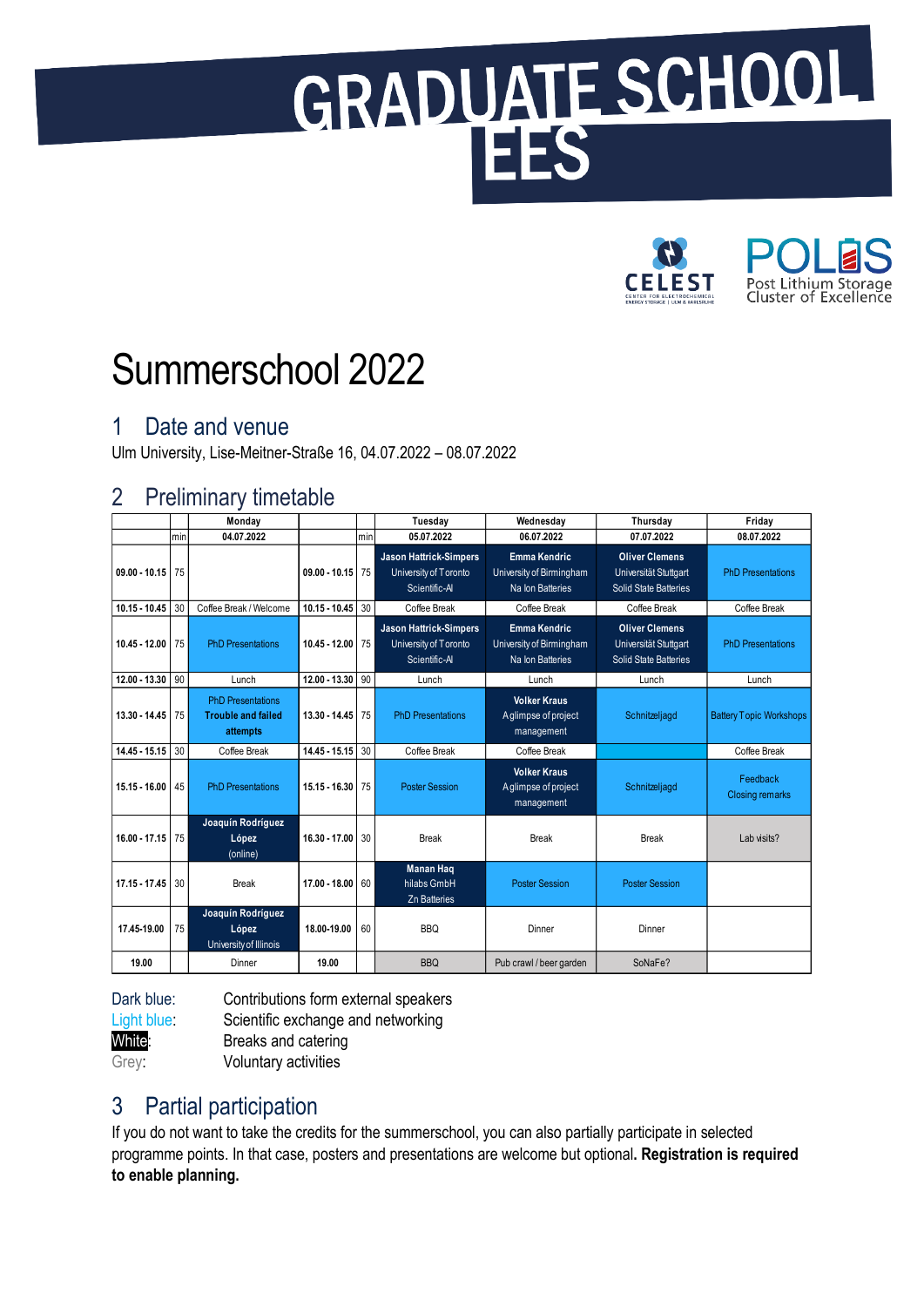# GRADUATE SCHOOL



# Summerschool 2022

# 1 Date and venue

Ulm University, Lise-Meitner-Straße 16, 04.07.2022 – 08.07.2022

## 2 Preliminary timetable

|                 |     | Monday                                                            |                 |     | Tuesday                                                                 | Wednesday                                                           | Thursday                                                                       | Friday                             |
|-----------------|-----|-------------------------------------------------------------------|-----------------|-----|-------------------------------------------------------------------------|---------------------------------------------------------------------|--------------------------------------------------------------------------------|------------------------------------|
|                 | min | 04.07.2022                                                        |                 | min | 05.07.2022                                                              | 06.07.2022                                                          | 07.07.2022                                                                     | 08.07.2022                         |
| $09.00 - 10.15$ | 75  |                                                                   | $09.00 - 10.15$ | 75  | <b>Jason Hattrick-Simpers</b><br>University of Toronto<br>Scientific-Al | <b>Emma Kendric</b><br>University of Birmingham<br>Na Ion Batteries | <b>Oliver Clemens</b><br>Universität Stuttgart<br><b>Solid State Batteries</b> | <b>PhD Presentations</b>           |
| $10.15 - 10.45$ | 30  | Coffee Break / Welcome                                            | $10.15 - 10.45$ | 30  | Coffee Break                                                            | Coffee Break                                                        | Coffee Break                                                                   | Coffee Break                       |
| $10.45 - 12.00$ | 75  | <b>PhD Presentations</b>                                          | 10.45 - 12.00   | 75  | <b>Jason Hattrick-Simpers</b><br>University of Toronto<br>Scientific-AI | <b>Emma Kendric</b><br>University of Birmingham<br>Na Ion Batteries | <b>Oliver Clemens</b><br>Universität Stuttgart<br>Solid State Batteries        | <b>PhD Presentations</b>           |
| 12.00 - 13.30   | 90  | Lunch                                                             | 12.00 - 13.30   | 90  | Lunch                                                                   | Lunch                                                               | Lunch                                                                          | Lunch                              |
| 13.30 - 14.45   | 75  | <b>PhD Presentations</b><br><b>Trouble and failed</b><br>attempts | 13.30 - 14.45   | 75  | <b>PhD Presentations</b>                                                | <b>Volker Kraus</b><br>Aglimpse of project<br>management            | Schnitzeljagd                                                                  | <b>Battery Topic Workshops</b>     |
| 14.45 - 15.15   | 30  | Coffee Break                                                      | 14.45 - 15.15   | 30  | Coffee Break                                                            | Coffee Break                                                        |                                                                                | Coffee Break                       |
| 15.15 - 16.00   | 45  | <b>PhD</b> Presentations                                          | 15.15 - 16.30   | 75  | <b>Poster Session</b>                                                   | <b>Volker Kraus</b><br>Aglimpse of project<br>management            | Schnitzeljagd                                                                  | Feedback<br><b>Closing remarks</b> |
| $16.00 - 17.15$ | 75  | Joaquín Rodríguez<br>López<br>(online)                            | 16.30 - 17.00   | 30  | <b>Break</b>                                                            | <b>Break</b>                                                        | <b>Break</b>                                                                   | Lab visits?                        |
| 17.15 - 17.45   | 30  | <b>Break</b>                                                      | 17.00 - 18.00   | 60  | <b>Manan Haq</b><br>hilabs GmbH<br><b>Zn Batteries</b>                  | <b>Poster Session</b>                                               | <b>Poster Session</b>                                                          |                                    |
| 17.45-19.00     | 75  | Joaquín Rodríguez<br>López<br>University of Illinois              | 18.00-19.00     | 60  | <b>BBQ</b>                                                              | Dinner                                                              | Dinner                                                                         |                                    |
| 19.00           |     | Dinner                                                            | 19.00           |     | <b>BBQ</b>                                                              | Pub crawl / beer garden                                             | SoNaFe?                                                                        |                                    |

Dark blue: Contributions form external speakers

Light blue: Scientific exchange and networking

White: **Breaks** and catering Grey: Voluntary activities

# 3 Partial participation

If you do not want to take the credits for the summerschool, you can also partially participate in selected programme points. In that case, posters and presentations are welcome but optional**. Registration is required to enable planning.**